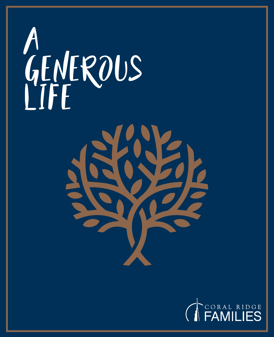



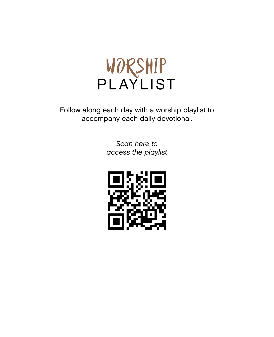

Follow along each day with a worship playlist to accompany each daily devotional.

> *Scan here to access the playlist*

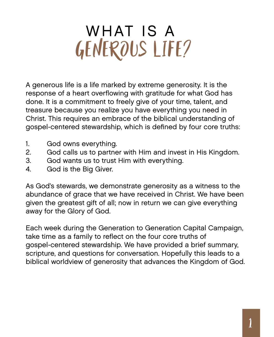# GENEROUS LIFE? WHAT IS A

A generous life is a life marked by extreme generosity. It is the response of a heart overflowing with gratitude for what God has done. It is a commitment to freely give of your time, talent, and treasure because you realize you have everything you need in Christ. This requires an embrace of the biblical understanding of gospel-centered stewardship, which is defined by four core truths:

- 1. God owns everything.
- 2. God calls us to partner with Him and invest in His Kingdom.
- 3. God wants us to trust Him with everything.
- 4. God is the Big Giver.

As God's stewards, we demonstrate generosity as a witness to the abundance of grace that we have received in Christ. We have been given the greatest gift of all; now in return we can give everything away for the Glory of God.

Each week during the Generation to Generation Capital Campaign, take time as a family to reflect on the four core truths of gospel-centered stewardship. We have provided a brief summary, scripture, and questions for conversation. Hopefully this leads to a biblical worldview of generosity that advances the Kingdom of God.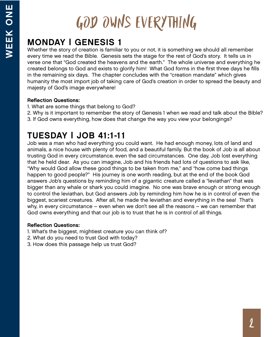# GOD OWNS EVERYTHING

# MONDAY | GENESIS 1

Whether the story of creation is familiar to you or not, it is something we should all remember every time we read the Bible. Genesis sets the stage for the rest of God's story. It tells us in verse one that "God created the heavens and the earth." The whole universe and everything he created belongs to God and exists to glorify him! What God forms in the first three days he fills in the remaining six days. The chapter concludes with the "creation mandate" which gives humanity the most import job of taking care of God's creation in order to spread the beauty and majesty of God's image everywhere!

### Reflection Questions:

- 1. What are some things that belong to God?
- 2. Why is it important to remember the story of Genesis 1 when we read and talk about the Bible?
- 3. If God owns everything, how does that change the way you view your belongings?

# TUESDAY | JOB 41:1-11

Job was a man who had everything you could want. He had enough money, lots of land and animals, a nice house with plenty of food, and a beautiful family. But the book of Job is all about trusting God in every circumstance, even the sad circumstances. One day, Job lost everything that he held dear. As you can imagine, Job and his friends had lots of questions to ask like, "Why would God allow these good things to be taken from me," and "how come bad things happen to good people?" His journey is one worth reading, but at the end of the book God answers Job's questions by reminding him of a gigantic creature called a "leviathan" that was bigger than any whale or shark you could imagine. No one was brave enough or strong enough to control the leviathan, but God answers Job by reminding him how he is in control of even the biggest, scariest creatures. After all, he made the leviathan and everything in the sea! That's why, in every circumstance – even when we don't see all the reasons – we can remember that God owns everything and that our job is to trust that he is in control of all things.

- 1. What's the biggest, mightiest creature you can think of?
- 2. What do you need to trust God with today?
- 3. How does this passage help us trust God?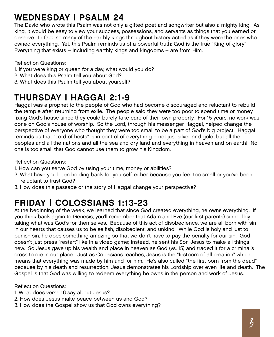## WEDNESDAY | PSALM 24

The David who wrote this Psalm was not only a gifted poet and songwriter but also a mighty king. As king, it would be easy to view your success, possessions, and servants as things that you earned or deserve. In fact, so many of the earthly kings throughout history acted as if they were the ones who owned everything. Yet, this Psalm reminds us of a powerful truth: God is the true "King of glory" Everything that exists – including earthly kings and kingdoms – are from Him.

Reflection Questions:

- 1. If you were king or queen for a day, what would you do?
- 2. What does this Psalm tell you about God?
- 3. What does this Psalm tell you about yourself?

## THURSDAY | HAGGAI 2:1-9

Haggai was a prophet to the people of God who had become discouraged and reluctant to rebuild the temple after returning from exile. The people said they were too poor to spend time or money fixing God's house since they could barely take care of their own property. For 15 years, no work was done on God's house of worship. So the Lord, through his messenger Haggai, helped change the perspective of everyone who thought they were too small to be a part of God's big project. Haggai reminds us that "Lord of hosts" is in control of everything – not just silver and gold, but all the peoples and all the nations and all the sea and dry land and everything in heaven and on earth! No one is too small that God cannot use them to grow his Kingdom.

Reflection Questions:

- 1. How can you serve God by using your time, money or abilities?
- 2. What have you been holding back for yourself, either because you feel too small or you've been reluctant to trust God?
- 3. How does this passage or the story of Haggai change your perspective?

## FRIDAY | COLOSSIANS 1:13-23

At the beginning of the week, we learned that since God created everything, he owns everything. If you think back again to Genesis, you'll remember that Adam and Eve (our first parents) sinned by taking what was God's for themselves. Because of this act of disobedience, we are all born with sin in our hearts that causes us to be selfish, disobedient, and unkind. While God is holy and just to punish sin, he does something amazing so that we don't have to pay the penalty for our sin. God doesn't just press "restart" like in a video game; instead, he sent his Son Jesus to make all things new. So Jesus gave up his wealth and place in heaven as God (vs. 15) and traded it for a criminal's cross to die in our place. Just as Colossians teaches, Jesus is the "firstborn of all creation" which means that everything was made by him and for him. He's also called "the first born from the dead" because by his death and resurrection. Jesus demonstrates his Lordship over even life and death. The Gospel is that God was willing to redeem everything he owns in the person and work of Jesus.

- 1. What does verse 16 say about Jesus?
- 2. How does Jesus make peace between us and God?
- 3. How does the Gospel show us that God owns everything?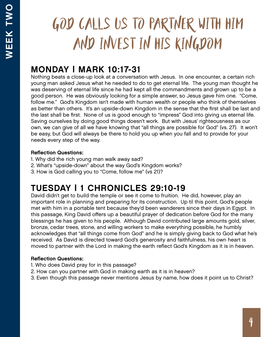# GOD CALLS US TO PARTNER WITH HIM AND INVEST IN HIS KINGDOM

## MONDAY | MARK 10:17-31

Nothing beats a close-up look at a conversation with Jesus. In one encounter, a certain rich young man asked Jesus what he needed to do to get eternal life. The young man thought he was deserving of eternal life since he had kept all the commandments and grown up to be a good person. He was obviously looking for a simple answer, so Jesus gave him one. "Come, follow me." God's Kingdom isn't made with human wealth or people who think of themselves as better than others. It's an upside-down Kingdom in the sense that the first shall be last and the last shall be first. None of us is good enough to "impress" God into giving us eternal life. Saving ourselves by doing good things doesn't work. But with Jesus' righteousness as our own, we can give of all we have knowing that "all things are possible for God" (vs. 27). It won't be easy, but God will always be there to hold you up when you fall and to provide for your needs every step of the way.

### Reflection Questions:

- 1. Why did the rich young man walk away sad?
- 2. What's "upside-down" about the way God's Kingdom works?
- 3. How is God calling you to "Come, follow me" (vs 21)?

## TUESDAY | 1 CHRONICLES 29:10-19

David didn't get to build the temple or see it come to fruition. He did, however, play an important role in planning and preparing for its construction. Up til this point, God's people met with him in a portable tent because they'd been wanderers since their days in Egypt. In this passage, King David offers up a beautiful prayer of dedication before God for the many blessings he has given to his people. Although David contributed large amounts gold, silver, bronze, cedar trees, stone, and willing workers to make everything possible, he humbly acknowledges that "all things come from God" and he is simply giving back to God what he's received. As David is directed toward God's generosity and faithfulness, his own heart is moved to partner with the Lord in making the earth reflect God's Kingdom as it is in heaven.

- 1. Who does David pray for in this passage?
- 2. How can you partner with God in making earth as it is in heaven?
- 3. Even though this passage never mentions Jesus by name, how does it point us to Christ?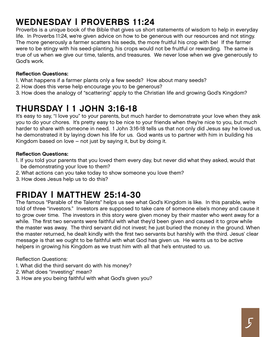# WEDNESDAY | PROVERBS 11:24

Proverbs is a unique book of the Bible that gives us short statements of wisdom to help in everyday life. In Proverbs 11:24, we're given advice on how to be generous with our resources and not stingy. The more generously a farmer scatters his seeds, the more fruitful his crop with be! If the farmer were to be stingy with his seed-planting, his crops would not be fruitful or rewarding. The same is true of us when we give our time, talents, and treasures. We never lose when we give generously to God's work.

#### Reflection Questions:

- 1. What happens if a farmer plants only a few seeds? How about many seeds?
- 2. How does this verse help encourage you to be generous?
- 3. How does the analogy of "scattering" apply to the Christian life and growing God's Kingdom?

## THURSDAY | 1 JOHN 3:16-18

It's easy to say, "I love you" to your parents, but much harder to demonstrate your love when they ask you to do your chores. It's pretty easy to be nice to your friends when they're nice to you, but much harder to share with someone in need. 1 John 3:16-18 tells us that not only did Jesus say he loved us, he demonstrated it by laying down his life for us. God wants us to partner with him in building his Kingdom based on love – not just by saying it, but by doing it.

#### Reflection Questions:

- 1. If you told your parents that you loved them every day, but never did what they asked, would that be demonstrating your love to them?
- 2. What actions can you take today to show someone you love them?
- 3. How does Jesus help us to do this?

## FRIDAY | MATTHEW 25:14-30

The famous "Parable of the Talents" helps us see what God's Kingdom is like. In this parable, we're told of three "investors." Investors are supposed to take care of someone else's money and cause it to grow over time. The investors in this story were given money by their master who went away for a while. The first two servants were faithful with what they'd been given and caused it to grow while the master was away. The third servant did not invest; he just buried the money in the ground. When the master returned, he dealt kindly with the first two servants but harshly with the third. Jesus' clear message is that we ought to be faithful with what God has given us. He wants us to be active helpers in growing his Kingdom as we trust him with all that he's entrusted to us.

- 1. What did the third servant do with his money?
- 2. What does "investing" mean?
- 3. How are you being faithful with what God's given you?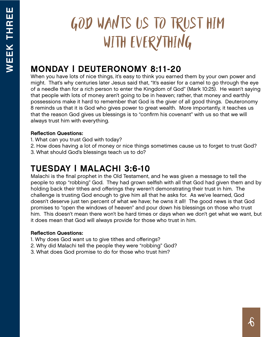# GOD WANTS US TO TRUST HIM WITH EVERYTHING

# MONDAY | DEUTERONOMY 8:11-20

When you have lots of nice things, it's easy to think you earned them by your own power and might. That's why centuries later Jesus said that, "It's easier for a camel to go through the eye of a needle than for a rich person to enter the Kingdom of God" (Mark 10:25). He wasn't saying that people with lots of money aren't going to be in heaven; rather, that money and earthly possessions make it hard to remember that God is the giver of all good things. Deuteronomy 8 reminds us that it is God who gives power to great wealth. More importantly, it teaches us that the reason God gives us blessings is to "confirm his covenant" with us so that we will always trust him with everything.

#### Reflection Questions:

- 1. What can you trust God with today?
- 2. How does having a lot of money or nice things sometimes cause us to forget to trust God?
- 3. What should God's blessings teach us to do?

## TUESDAY | MALACHI 3:6-10

Malachi is the final prophet in the Old Testament, and he was given a message to tell the people to stop "robbing" God. They had grown selfish with all that God had given them and by holding back their tithes and offerings they weren't demonstrating their trust in him. The challenge is trusting God enough to give him all that he asks for. As we've learned, God doesn't deserve just ten percent of what we have; he owns it all! The good news is that God promises to "open the windows of heaven" and pour down his blessings on those who trust him. This doesn't mean there won't be hard times or days when we don't get what we want, but it does mean that God will always provide for those who trust in him.

- 1. Why does God want us to give tithes and offerings?
- 2. Why did Malachi tell the people they were "robbing" God?
- 3. What does God promise to do for those who trust him?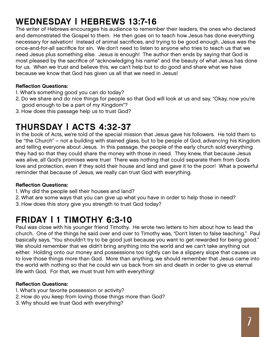# WEDNESDAY | HEBREWS 13:7-16

The writer of Hebrews encourages his audience to remember their leaders, the ones who declared and demonstrated the Gospel to them. He then goes on to teach how Jesus has done everything necessary for salvation! Instead of animal sacrifices, and trying to be good enough, Jesus was the once-and-for-all sacrifice for sin. We don't need to listen to anyone who tries to teach us that we need Jesus plus something else. Jesus is enough! The author then ends by saying that God is most pleased by the sacrifice of "acknowledging his name" and the beauty of what Jesus has done for us. When we trust and believe this, we can't help but to do good and share what we have because we know that God has given us all that we need in Jesus!

#### Reflection Questions:

- 1. What's something good you can do today?
- 2. Do we share and do nice things for people so that God will look at us and say, "Okay, now you're good enough to be a part of my Kingdom"?
- 3. How does this passage help us to trust God?

## THURSDAY | ACTS 4:32-37

In the book of Acts, we're told of the special mission that Jesus gave his followers. He told them to be "the Church" – not a building with stained glass, but to be people of God, advancing his Kingdom and telling everyone about Jesus. In this passage, the people of the early church sold everything they had so that they could share the money with those in need. They knew, that because Jesus was alive, all God's promises were true! There was nothing that could separate them from God's love and protection, even if they sold their house and land and gave it to the poor! What a powerful reminder that because of Jesus, we really can trust God with everything.

#### Reflection Questions:

- 1. Why did the people sell their houses and land?
- 2. What are some ways that you can give up what you have in order to help those in need?
- 3. How does this story give you strength to trust God today?

## FRIDAY | 1 TIMOTHY 6:3-10

Paul was close with his younger friend Timothy. He wrote two letters to him about how to lead the church. One of the things he said over and over to Timothy was, "Don't listen to false teaching." Paul basically says, "You shouldn't try to be good just because you want to get rewarded for being good." We should remember that we didn't bring anything into the world and we can't take anything out either. Holding onto our money and possessions too tightly can be a slippery slope that causes us to love those things more than God. More than anything, we should remember that Jesus came into the world with nothing so that he could win us back from sin and death in order to give us eternal life with God. For that, we must trust him with everything!

- 1. What's your favorite possession or activity?
- 2. How do you keep from loving those things more than God?
- 3. Why should we trust God with everything?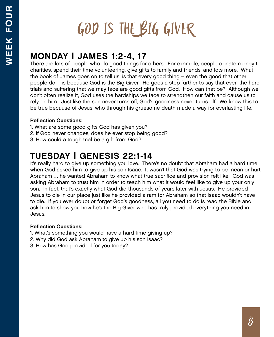# GOD IS THE BIG GIVER

## MONDAY | JAMES 1:2-4, 17

There are lots of people who do good things for others. For example, people donate money to charities, spend their time volunteering, give gifts to family and friends, and lots more. What the book of James goes on to tell us, is that every good thing – even the good that other people do – is because God is the Big Giver. He goes a step further to say that even the hard trials and suffering that we may face are good gifts from God. How can that be? Although we don't often realize it, God uses the hardships we face to strengthen our faith and cause us to rely on him. Just like the sun never turns off, God's goodness never turns off. We know this to be true because of Jesus, who through his gruesome death made a way for everlasting life.

### Reflection Questions:

- 1. What are some good gifts God has given you?
- 2. If God never changes, does he ever stop being good?
- 3. How could a tough trial be a gift from God?

## TUESDAY | GENESIS 22:1-14

It's really hard to give up something you love. There's no doubt that Abraham had a hard time when God asked him to give up his son Isaac. It wasn't that God was trying to be mean or hurt Abraham … he wanted Abraham to know what true sacrifice and provision felt like. God was asking Abraham to trust him in order to teach him what it would feel like to give up your only son. In fact, that's exactly what God did thousands of years later with Jesus. He provided Jesus to die in our place just like he provided a ram for Abraham so that Isaac wouldn't have to die. If you ever doubt or forget God's goodness, all you need to do is read the Bible and ask him to show you how he's the Big Giver who has truly provided everything you need in Jesus.

- 1. What's something you would have a hard time giving up?
- 2. Why did God ask Abraham to give up his son Isaac?
- 3. How has God provided for you today?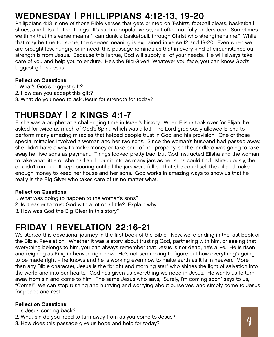# WEDNESDAY | PHILLIPPIANS 4:12-13, 19-20

Philippians 4:13 is one of those Bible verses that gets printed on T-shirts, football cleats, basketball shoes, and lots of other things. It's such a popular verse, but often not fully understood. Sometimes we think that this verse means "I can dunk a basketball, through Christ who strengthens me." While that may be true for some, the deeper meaning is explained in verse 12 and 19-20. Even when we are brought low, hungry, or in need, this passage reminds us that in every kind of circumstance our strength is from Jesus. Because this is true, God will supply all of your needs. He will always take care of you and help you to endure. He's the Big Giver! Whatever you face, you can know God's biggest gift is Jesus.

#### Reflection Questions:

- 1. What's God's biggest gift?
- 2. How can you accept this gift?
- 3. What do you need to ask Jesus for strength for today?

## THURSDAY | 2 KINGS 4:1-7

Elisha was a prophet at a challenging time in Israel's history. When Elisha took over for Elijah, he asked for twice as much of God's Spirit, which was a lot! The Lord graciously allowed Elisha to perform many amazing miracles that helped people trust in God and his provision. One of those special miracles involved a woman and her two sons. Since the woman's husband had passed away, she didn't have a way to make money or take care of her property, so the landlord was going to take away her two sons as payment. Things looked pretty bad, but God instructed Elisha and the woman to take what little oil she had and pour it into as many jars as her sons could find. Miraculously, the oil didn't run out! It kept pouring until all the jars were full so that she could sell the oil and make enough money to keep her house and her sons. God works in amazing ways to show us that he really is the Big Giver who takes care of us no matter what.

#### Reflection Questions:

- 1. What was going to happen to the woman's sons?
- 2. Is it easier to trust God with a lot or a little? Explain why.
- 3. How was God the Big Giver in this story?

## FRIDAY | REVELATION 22:16-21

We started this devotional journey in the first book of the Bible. Now, we're ending in the last book of the Bible, Revelation. Whether it was a story about trusting God, partnering with him, or seeing that everything belongs to him, you can always remember that Jesus is not dead, he's alive. He is risen and reigning as King in heaven right now. He's not scrambling to figure out how everything's going to be made right – he knows and he is working even now to make earth as it is in heaven. More than any Bible character, Jesus is the "bright and morning star" who shines the light of salvation into the world and into our hearts. God has given us everything we need in Jesus. He wants us to turn away from sin and come to him. The same Jesus who says, "Surely, I'm coming soon" says to us, "Come!" We can stop rushing and hurrying and worrying about ourselves, and simply come to Jesus for peace and rest.

- 1. Is Jesus coming back?
- 2. What sin do you need to turn away from as you come to Jesus?
- 3. How does this passage give us hope and help for today?